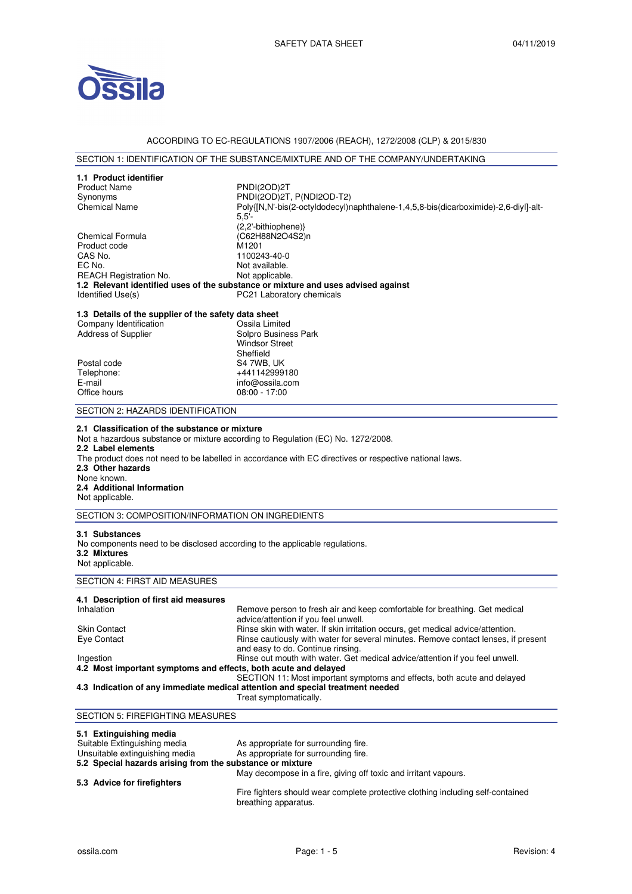

## ACCORDING TO EC-REGULATIONS 1907/2006 (REACH), 1272/2008 (CLP) & 2015/830

## SECTION 1: IDENTIFICATION OF THE SUBSTANCE/MIXTURE AND OF THE COMPANY/UNDERTAKING

| 1.1 Product identifier<br><b>Product Name</b><br>Synonyms<br><b>Chemical Name</b>                                                | PNDI(2OD)2T<br>PNDI(2OD)2T, P(NDI2OD-T2)<br>Poly{[N,N'-bis(2-octyldodecyl)naphthalene-1,4,5,8-bis(dicarboximide)-2,6-diyl]-alt-<br>$5.5'$ -                                                                            |  |
|----------------------------------------------------------------------------------------------------------------------------------|------------------------------------------------------------------------------------------------------------------------------------------------------------------------------------------------------------------------|--|
| Chemical Formula<br>Product code<br>CAS No.<br>EC No.<br><b>REACH Registration No.</b><br>Identified Use(s)                      | (2,2'-bithiophene)}<br>(C62H88N2O4S2)n<br>M1201<br>1100243-40-0<br>Not available.<br>Not applicable.<br>1.2 Relevant identified uses of the substance or mixture and uses advised against<br>PC21 Laboratory chemicals |  |
|                                                                                                                                  |                                                                                                                                                                                                                        |  |
| 1.3 Details of the supplier of the safety data sheet<br>Company Identification                                                   |                                                                                                                                                                                                                        |  |
| Address of Supplier                                                                                                              | Ossila Limited<br>Solpro Business Park<br><b>Windsor Street</b><br>Sheffield                                                                                                                                           |  |
| Postal code                                                                                                                      | S4 7WB, UK                                                                                                                                                                                                             |  |
| Telephone:                                                                                                                       | +441142999180                                                                                                                                                                                                          |  |
| E-mail<br>Office hours                                                                                                           | info@ossila.com<br>$08:00 - 17:00$                                                                                                                                                                                     |  |
| SECTION 2: HAZARDS IDENTIFICATION                                                                                                |                                                                                                                                                                                                                        |  |
| 2.2 Label elements<br>2.3 Other hazards<br>None known.<br>2.4 Additional Information<br>Not applicable.                          | Not a hazardous substance or mixture according to Regulation (EC) No. 1272/2008.<br>The product does not need to be labelled in accordance with EC directives or respective national laws.                             |  |
| SECTION 3: COMPOSITION/INFORMATION ON INGREDIENTS                                                                                |                                                                                                                                                                                                                        |  |
| 3.1 Substances<br>No components need to be disclosed according to the applicable regulations.<br>3.2 Mixtures<br>Not applicable. |                                                                                                                                                                                                                        |  |
| SECTION 4: FIRST AID MEASURES                                                                                                    |                                                                                                                                                                                                                        |  |
| 4.1 Description of first aid measures<br>Inhalation                                                                              | Remove person to fresh air and keep comfortable for breathing. Get medical<br>advice/attention if you feel unwell.                                                                                                     |  |
| Skin Contact                                                                                                                     | Rinse skin with water. If skin irritation occurs, get medical advice/attention.                                                                                                                                        |  |
| Eye Contact                                                                                                                      | Rinse cautiously with water for several minutes. Remove contact lenses, if present                                                                                                                                     |  |
|                                                                                                                                  | and easy to do. Continue rinsing.                                                                                                                                                                                      |  |
| Ingestion<br>4.2 Most important symptoms and effects, both acute and delayed                                                     | Rinse out mouth with water. Get medical advice/attention if you feel unwell.                                                                                                                                           |  |
|                                                                                                                                  | SECTION 11: Most important symptoms and effects, both acute and delayed<br>4.3 Indication of any immediate medical attention and special treatment needed<br>Treat symptomatically.                                    |  |
| SECTION 5: FIREFIGHTING MEASURES                                                                                                 |                                                                                                                                                                                                                        |  |
| 5.1 Extinguishing media                                                                                                          |                                                                                                                                                                                                                        |  |

**5.1 Extinguishing media**<br>Suitable Extinguishing media Suitable Extinguishing media As appropriate for surrounding fire.<br>
Unsuitable extinguishing media As appropriate for surrounding fire. As appropriate for surrounding fire. **5.2 Special hazards arising from the substance or mixture**  May decompose in a fire, giving off toxic and irritant vapours. **5.3 Advice for firefighters** 

Fire fighters should wear complete protective clothing including self-contained breathing apparatus.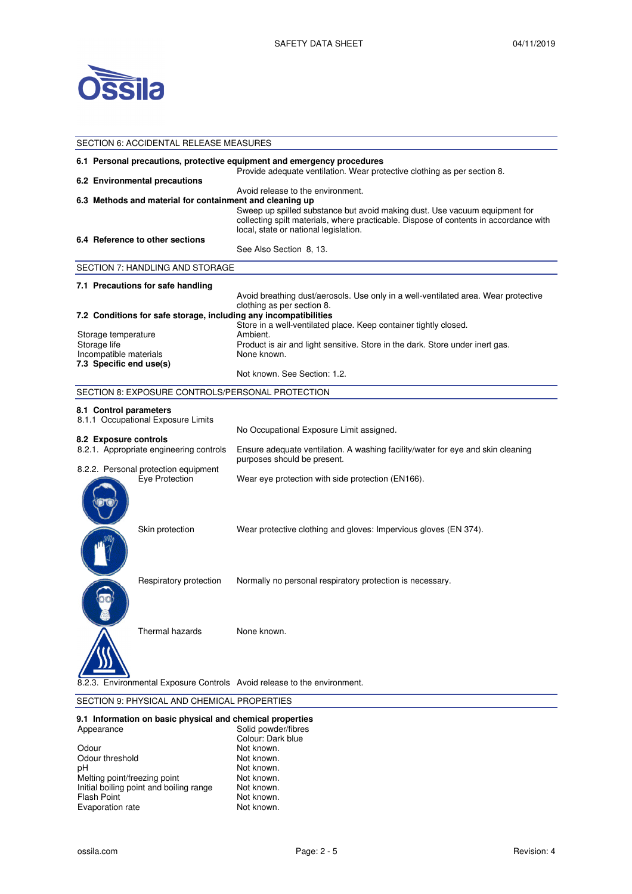

| <b>SECTION 6: ACCIDENTAL RELEASE MEASURES</b>                                                                                                       |                                                                                                                                                                                                                                                   |  |  |  |
|-----------------------------------------------------------------------------------------------------------------------------------------------------|---------------------------------------------------------------------------------------------------------------------------------------------------------------------------------------------------------------------------------------------------|--|--|--|
| 6.1 Personal precautions, protective equipment and emergency procedures<br>Provide adequate ventilation. Wear protective clothing as per section 8. |                                                                                                                                                                                                                                                   |  |  |  |
| 6.2 Environmental precautions                                                                                                                       |                                                                                                                                                                                                                                                   |  |  |  |
| 6.3 Methods and material for containment and cleaning up                                                                                            | Avoid release to the environment.<br>Sweep up spilled substance but avoid making dust. Use vacuum equipment for<br>collecting spilt materials, where practicable. Dispose of contents in accordance with<br>local, state or national legislation. |  |  |  |
| 6.4 Reference to other sections                                                                                                                     | See Also Section 8, 13.                                                                                                                                                                                                                           |  |  |  |
| SECTION 7: HANDLING AND STORAGE                                                                                                                     |                                                                                                                                                                                                                                                   |  |  |  |
| 7.1 Precautions for safe handling                                                                                                                   |                                                                                                                                                                                                                                                   |  |  |  |
|                                                                                                                                                     | Avoid breathing dust/aerosols. Use only in a well-ventilated area. Wear protective<br>clothing as per section 8.                                                                                                                                  |  |  |  |
| 7.2 Conditions for safe storage, including any incompatibilities                                                                                    |                                                                                                                                                                                                                                                   |  |  |  |
| Storage temperature<br>Storage life<br>Incompatible materials<br>7.3 Specific end use(s)                                                            | Store in a well-ventilated place. Keep container tightly closed.<br>Ambient.<br>Product is air and light sensitive. Store in the dark. Store under inert gas.<br>None known.                                                                      |  |  |  |
|                                                                                                                                                     | Not known. See Section: 1.2.                                                                                                                                                                                                                      |  |  |  |
| SECTION 8: EXPOSURE CONTROLS/PERSONAL PROTECTION                                                                                                    |                                                                                                                                                                                                                                                   |  |  |  |
| 8.1 Control parameters<br>8.1.1 Occupational Exposure Limits                                                                                        | No Occupational Exposure Limit assigned.                                                                                                                                                                                                          |  |  |  |
| 8.2 Exposure controls<br>8.2.1. Appropriate engineering controls                                                                                    | Ensure adequate ventilation. A washing facility/water for eye and skin cleaning<br>purposes should be present.                                                                                                                                    |  |  |  |
| 8.2.2. Personal protection equipment<br>Eye Protection                                                                                              | Wear eye protection with side protection (EN166).                                                                                                                                                                                                 |  |  |  |
| Skin protection                                                                                                                                     | Wear protective clothing and gloves: Impervious gloves (EN 374).                                                                                                                                                                                  |  |  |  |
| Respiratory protection                                                                                                                              | Normally no personal respiratory protection is necessary.                                                                                                                                                                                         |  |  |  |
| Thermal hazards                                                                                                                                     | None known.                                                                                                                                                                                                                                       |  |  |  |
| Environmental Exposure Controls Avoid release to the environment.                                                                                   |                                                                                                                                                                                                                                                   |  |  |  |

# SECTION 9: PHYSICAL AND CHEMICAL PROPERTIES

#### **9.1 Information on basic physical and chemical properties**

| Appearance                              | Solid powder/fibres |
|-----------------------------------------|---------------------|
|                                         | Colour: Dark blue   |
| Odour                                   | Not known.          |
| Odour threshold                         | Not known.          |
| рH                                      | Not known.          |
| Melting point/freezing point            | Not known.          |
| Initial boiling point and boiling range | Not known.          |
| <b>Flash Point</b>                      | Not known.          |
| Evaporation rate                        | Not known.          |
|                                         |                     |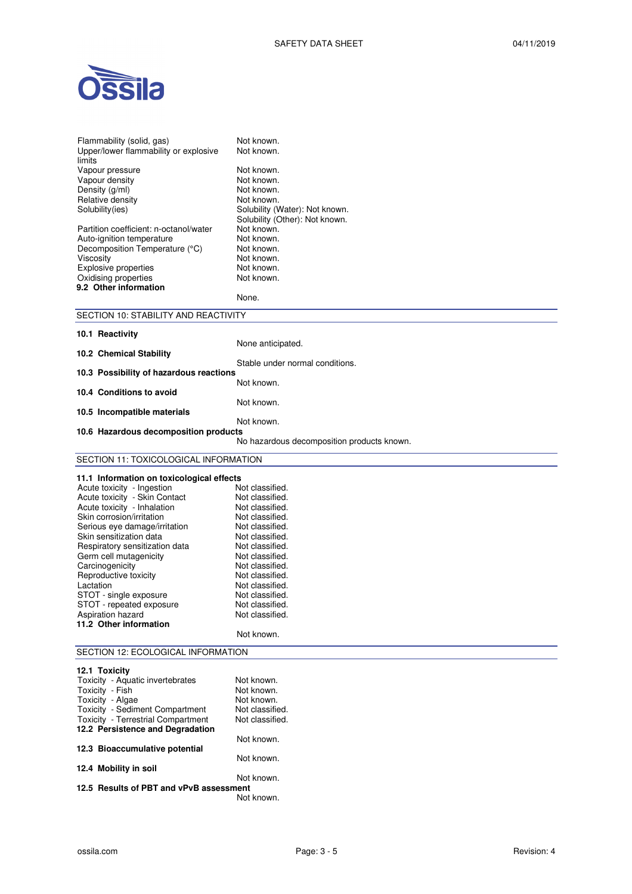



| Flammability (solid, gas)<br>Upper/lower flammability or explosive<br>limits<br>Vapour pressure<br>Vapour density<br>Density (g/ml)<br>Relative density<br>Solubility(ies)<br>Partition coefficient: n-octanol/water<br>Auto-ignition temperature<br>Decomposition Temperature (°C)<br>Viscosity<br><b>Explosive properties</b><br>Oxidising properties<br>9.2 Other information                                                                                                                 | Not known.<br>Not known.<br>Not known.<br>Not known.<br>Not known.<br>Not known.<br>Solubility (Water): Not known.<br>Solubility (Other): Not known.<br>Not known.<br>Not known.<br>Not known.<br>Not known.<br>Not known.<br>Not known.<br>None.                                    |
|--------------------------------------------------------------------------------------------------------------------------------------------------------------------------------------------------------------------------------------------------------------------------------------------------------------------------------------------------------------------------------------------------------------------------------------------------------------------------------------------------|--------------------------------------------------------------------------------------------------------------------------------------------------------------------------------------------------------------------------------------------------------------------------------------|
| SECTION 10: STABILITY AND REACTIVITY                                                                                                                                                                                                                                                                                                                                                                                                                                                             |                                                                                                                                                                                                                                                                                      |
| 10.1 Reactivity<br>10.2 Chemical Stability<br>10.3 Possibility of hazardous reactions                                                                                                                                                                                                                                                                                                                                                                                                            | None anticipated.<br>Stable under normal conditions.<br>Not known.                                                                                                                                                                                                                   |
| 10.4 Conditions to avoid                                                                                                                                                                                                                                                                                                                                                                                                                                                                         |                                                                                                                                                                                                                                                                                      |
| 10.5 Incompatible materials<br>10.6 Hazardous decomposition products                                                                                                                                                                                                                                                                                                                                                                                                                             | Not known.<br>Not known.<br>No hazardous decomposition products known.                                                                                                                                                                                                               |
| SECTION 11: TOXICOLOGICAL INFORMATION                                                                                                                                                                                                                                                                                                                                                                                                                                                            |                                                                                                                                                                                                                                                                                      |
|                                                                                                                                                                                                                                                                                                                                                                                                                                                                                                  |                                                                                                                                                                                                                                                                                      |
| 11.1 Information on toxicological effects<br>Acute toxicity - Ingestion<br>Acute toxicity - Skin Contact<br>Acute toxicity - Inhalation<br>Skin corrosion/irritation<br>Serious eye damage/irritation<br>Skin sensitization data<br>Respiratory sensitization data<br>Germ cell mutagenicity<br>Carcinogenicity<br>Reproductive toxicity<br>Lactation<br>STOT - single exposure<br>STOT - repeated exposure<br>Aspiration hazard<br>11.2 Other information<br>SECTION 12: ECOLOGICAL INFORMATION | Not classified.<br>Not classified.<br>Not classified.<br>Not classified.<br>Not classified.<br>Not classified.<br>Not classified.<br>Not classified.<br>Not classified.<br>Not classified.<br>Not classified.<br>Not classified.<br>Not classified.<br>Not classified.<br>Not known. |
| 12.1 Toxicity                                                                                                                                                                                                                                                                                                                                                                                                                                                                                    |                                                                                                                                                                                                                                                                                      |
| Toxicity - Aquatic invertebrates<br>Toxicity - Fish<br>Toxicity - Algae<br>Toxicity - Sediment Compartment<br><b>Toxicity - Terrestrial Compartment</b><br>12.2 Persistence and Degradation                                                                                                                                                                                                                                                                                                      | Not known.<br>Not known.<br>Not known.<br>Not classified.<br>Not classified.<br>Not known.                                                                                                                                                                                           |
| 12.3 Bioaccumulative potential                                                                                                                                                                                                                                                                                                                                                                                                                                                                   |                                                                                                                                                                                                                                                                                      |
| 12.4 Mobility in soil                                                                                                                                                                                                                                                                                                                                                                                                                                                                            | Not known.<br>Not known.                                                                                                                                                                                                                                                             |

**12.5 Results of PBT and vPvB assessment**  Not known.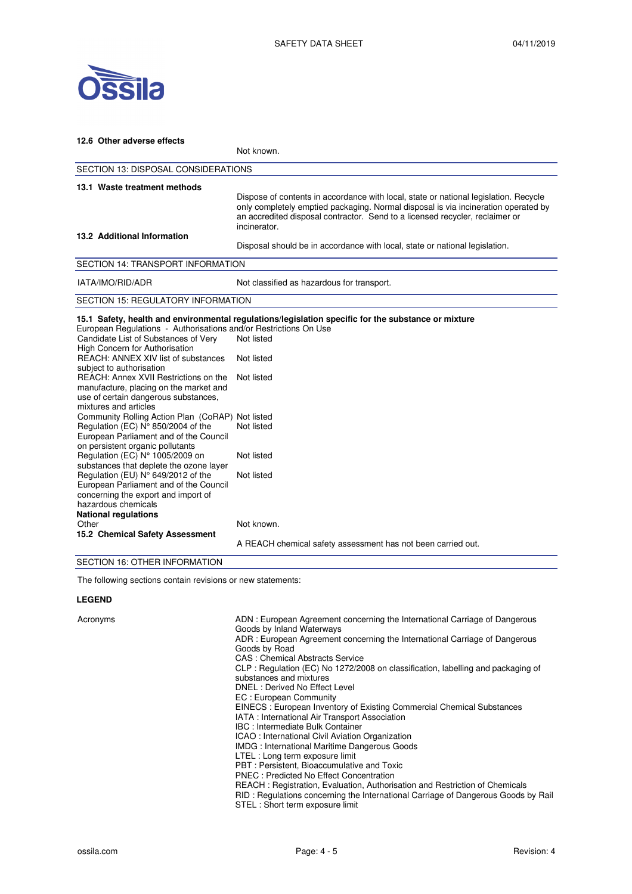

| 12.6 Other adverse effects                                                                                                                                                                                                                                                                                                                                                                                                                                                                                                                                                                                                                                                                                                                                                   |                                                                                                                                                                                                                                                                            |  |  |
|------------------------------------------------------------------------------------------------------------------------------------------------------------------------------------------------------------------------------------------------------------------------------------------------------------------------------------------------------------------------------------------------------------------------------------------------------------------------------------------------------------------------------------------------------------------------------------------------------------------------------------------------------------------------------------------------------------------------------------------------------------------------------|----------------------------------------------------------------------------------------------------------------------------------------------------------------------------------------------------------------------------------------------------------------------------|--|--|
|                                                                                                                                                                                                                                                                                                                                                                                                                                                                                                                                                                                                                                                                                                                                                                              | Not known.                                                                                                                                                                                                                                                                 |  |  |
| SECTION 13: DISPOSAL CONSIDERATIONS                                                                                                                                                                                                                                                                                                                                                                                                                                                                                                                                                                                                                                                                                                                                          |                                                                                                                                                                                                                                                                            |  |  |
| 13.1 Waste treatment methods                                                                                                                                                                                                                                                                                                                                                                                                                                                                                                                                                                                                                                                                                                                                                 | Dispose of contents in accordance with local, state or national legislation. Recycle<br>only completely emptied packaging. Normal disposal is via incineration operated by<br>an accredited disposal contractor. Send to a licensed recycler, reclaimer or<br>incinerator. |  |  |
| 13.2 Additional Information                                                                                                                                                                                                                                                                                                                                                                                                                                                                                                                                                                                                                                                                                                                                                  | Disposal should be in accordance with local, state or national legislation.                                                                                                                                                                                                |  |  |
| <b>SECTION 14: TRANSPORT INFORMATION</b>                                                                                                                                                                                                                                                                                                                                                                                                                                                                                                                                                                                                                                                                                                                                     |                                                                                                                                                                                                                                                                            |  |  |
| IATA/IMO/RID/ADR                                                                                                                                                                                                                                                                                                                                                                                                                                                                                                                                                                                                                                                                                                                                                             | Not classified as hazardous for transport.                                                                                                                                                                                                                                 |  |  |
| <b>SECTION 15: REGULATORY INFORMATION</b>                                                                                                                                                                                                                                                                                                                                                                                                                                                                                                                                                                                                                                                                                                                                    |                                                                                                                                                                                                                                                                            |  |  |
| European Regulations - Authorisations and/or Restrictions On Use<br>Candidate List of Substances of Very<br>High Concern for Authorisation<br>REACH: ANNEX XIV list of substances<br>subject to authorisation<br>REACH: Annex XVII Restrictions on the<br>manufacture, placing on the market and<br>use of certain dangerous substances,<br>mixtures and articles<br>Community Rolling Action Plan (CoRAP) Not listed<br>Regulation (EC) N° 850/2004 of the<br>European Parliament and of the Council                                                                                                                                                                                                                                                                        | 15.1 Safety, health and environmental regulations/legislation specific for the substance or mixture<br>Not listed<br>Not listed<br>Not listed<br>Not listed                                                                                                                |  |  |
| on persistent organic pollutants<br>Regulation (EC) N° 1005/2009 on<br>substances that deplete the ozone layer<br>Regulation (EU) N° 649/2012 of the<br>European Parliament and of the Council<br>concerning the export and import of<br>hazardous chemicals<br><b>National regulations</b><br>Other<br>15.2 Chemical Safety Assessment<br>$\overline{O}$ $\overline{F}$ $\overline{O}$ $\overline{F}$ $\overline{I}$ $\overline{I}$ $\overline{I}$ $\overline{I}$ $\overline{I}$ $\overline{I}$ $\overline{I}$ $\overline{I}$ $\overline{I}$ $\overline{I}$ $\overline{I}$ $\overline{I}$ $\overline{I}$ $\overline{I}$ $\overline{I}$ $\overline{I}$ $\overline{I}$ $\overline{I}$ $\overline{I}$ $\overline{I}$ $\overline{I}$ $\overline{I}$ $\overline{I}$ $\overline{$ | Not listed<br>Not listed<br>Not known.<br>A REACH chemical safety assessment has not been carried out.                                                                                                                                                                     |  |  |

SECTION 16: OTHER INFORMATION

The following sections contain revisions or new statements:

# **LEGEND**

| Acronyms | ADN: European Agreement concerning the International Carriage of Dangerous<br>Goods by Inland Waterways<br>ADR: European Agreement concerning the International Carriage of Dangerous<br>Goods by Road<br>CAS: Chemical Abstracts Service<br>CLP: Regulation (EC) No 1272/2008 on classification, labelling and packaging of<br>substances and mixtures<br>DNEL: Derived No Effect Level<br>EC: European Community<br>EINECS: European Inventory of Existing Commercial Chemical Substances<br>IATA: International Air Transport Association<br><b>IBC: Intermediate Bulk Container</b><br>ICAO: International Civil Aviation Organization<br>IMDG: International Maritime Dangerous Goods<br>LTEL : Long term exposure limit<br>PBT: Persistent, Bioaccumulative and Toxic<br><b>PNEC: Predicted No Effect Concentration</b><br>REACH: Registration, Evaluation, Authorisation and Restriction of Chemicals<br>RID: Regulations concerning the International Carriage of Dangerous Goods by Rail<br>STEL: Short term exposure limit |
|----------|--------------------------------------------------------------------------------------------------------------------------------------------------------------------------------------------------------------------------------------------------------------------------------------------------------------------------------------------------------------------------------------------------------------------------------------------------------------------------------------------------------------------------------------------------------------------------------------------------------------------------------------------------------------------------------------------------------------------------------------------------------------------------------------------------------------------------------------------------------------------------------------------------------------------------------------------------------------------------------------------------------------------------------------|
|----------|--------------------------------------------------------------------------------------------------------------------------------------------------------------------------------------------------------------------------------------------------------------------------------------------------------------------------------------------------------------------------------------------------------------------------------------------------------------------------------------------------------------------------------------------------------------------------------------------------------------------------------------------------------------------------------------------------------------------------------------------------------------------------------------------------------------------------------------------------------------------------------------------------------------------------------------------------------------------------------------------------------------------------------------|